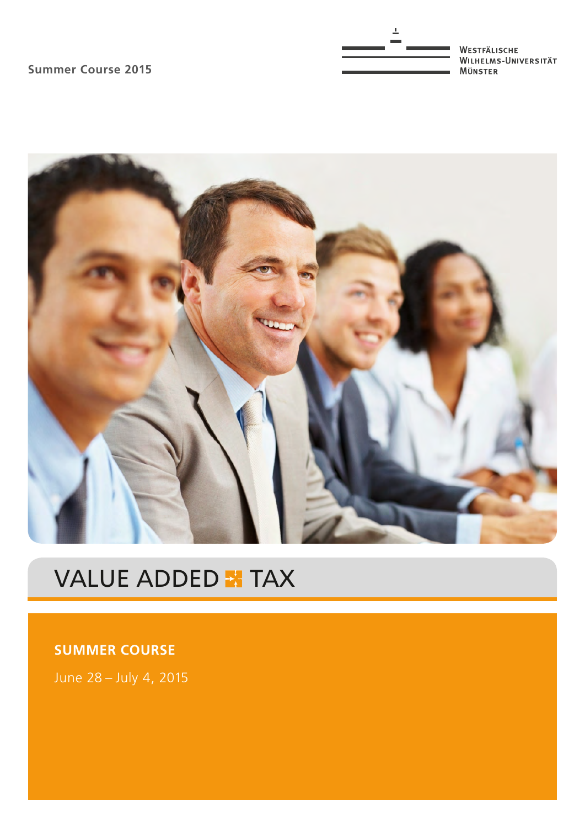**Summer Course 2015**



# VALUE ADDED **\*** TAX

### **SUMMER COURSE**

June 28 – July 4, 2015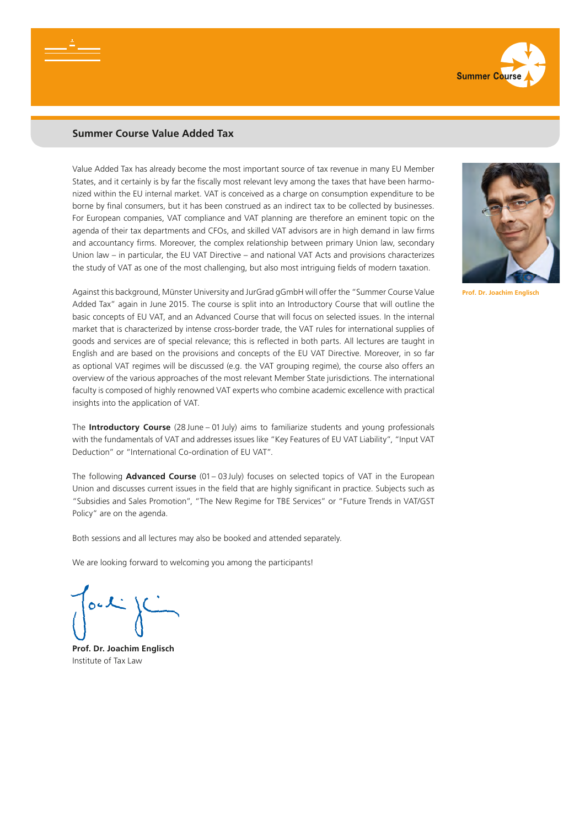



### **Summer Course Value Added Tax**

Value Added Tax has already become the most important source of tax revenue in many EU Member States, and it certainly is by far the fiscally most relevant levy among the taxes that have been harmonized within the EU internal market. VAT is conceived as a charge on consumption expenditure to be borne by final consumers, but it has been construed as an indirect tax to be collected by businesses. For European companies, VAT compliance and VAT planning are therefore an eminent topic on the agenda of their tax departments and CFOs, and skilled VAT advisors are in high demand in law firms and accountancy firms. Moreover, the complex relationship between primary Union law, secondary Union law – in particular, the EU VAT Directive – and national VAT Acts and provisions characterizes the study of VAT as one of the most challenging, but also most intriguing fields of modern taxation.



**Prof. Dr. Joachim Englisch**

Against this background, Münster University and JurGrad gGmbH will offer the "Summer Course Value Added Tax" again in June 2015. The course is split into an Introductory Course that will outline the basic concepts of EU VAT, and an Advanced Course that will focus on selected issues. In the internal market that is characterized by intense cross-border trade, the VAT rules for international supplies of goods and services are of special relevance; this is reflected in both parts. All lectures are taught in English and are based on the provisions and concepts of the EU VAT Directive. Moreover, in so far as optional VAT regimes will be discussed (e.g. the VAT grouping regime), the course also offers an overview of the various approaches of the most relevant Member State jurisdictions. The international faculty is composed of highly renowned VAT experts who combine academic excellence with practical insights into the application of VAT.

The **Introductory Course** (28 June – 01July) aims to familiarize students and young professionals with the fundamentals of VAT and addresses issues like "Key Features of EU VAT Liability", "Input VAT Deduction" or "International Co-ordination of EU VAT".

The following **Advanced Course** (01– 03July) focuses on selected topics of VAT in the European Union and discusses current issues in the field that are highly significant in practice. Subjects such as "Subsidies and Sales Promotion", "The New Regime for TBE Services" or "Future Trends in VAT/GST Policy" are on the agenda.

Both sessions and all lectures may also be booked and attended separately.

We are looking forward to welcoming you among the participants!

**Prof. Dr. Joachim Englisch** Institute of Tax Law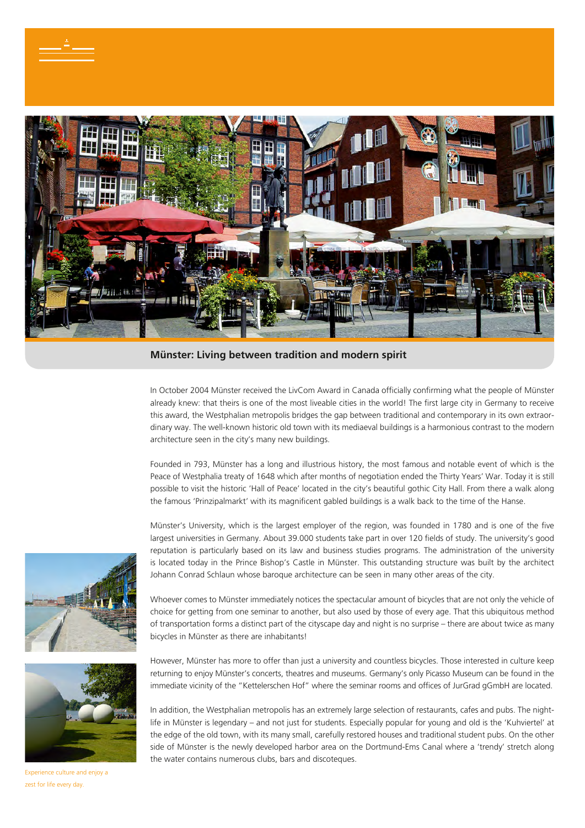

**Münster: Living between tradition and modern spirit**

In October 2004 Münster received the LivCom Award in Canada officially confirming what the people of Münster already knew: that theirs is one of the most liveable cities in the world! The first large city in Germany to receive this award, the Westphalian metropolis bridges the gap between traditional and contemporary in its own extraordinary way. The well-known historic old town with its mediaeval buildings is a harmonious contrast to the modern architecture seen in the city's many new buildings.

Founded in 793, Münster has a long and illustrious history, the most famous and notable event of which is the Peace of Westphalia treaty of 1648 which after months of negotiation ended the Thirty Years' War. Today it is still possible to visit the historic 'Hall of Peace' located in the city's beautiful gothic City Hall. From there a walk along the famous 'Prinzipalmarkt' with its magnificent gabled buildings is a walk back to the time of the Hanse.

Münster's University, which is the largest employer of the region, was founded in 1780 and is one of the five largest universities in Germany. About 39.000 students take part in over 120 fields of study. The university's good reputation is particularly based on its law and business studies programs. The administration of the university is located today in the Prince Bishop's Castle in Münster. This outstanding structure was built by the architect Johann Conrad Schlaun whose baroque architecture can be seen in many other areas of the city.

Whoever comes to Münster immediately notices the spectacular amount of bicycles that are not only the vehicle of choice for getting from one seminar to another, but also used by those of every age. That this ubiquitous method of transportation forms a distinct part of the cityscape day and night is no surprise – there are about twice as many bicycles in Münster as there are inhabitants!

However, Münster has more to offer than just a university and countless bicycles. Those interested in culture keep returning to enjoy Münster's concerts, theatres and museums. Germany's only Picasso Museum can be found in the immediate vicinity of the "Kettelerschen Hof" where the seminar rooms and offices of JurGrad gGmbH are located.

In addition, the Westphalian metropolis has an extremely large selection of restaurants, cafes and pubs. The nightlife in Münster is legendary – and not just for students. Especially popular for young and old is the 'Kuhviertel' at the edge of the old town, with its many small, carefully restored houses and traditional student pubs. On the other side of Münster is the newly developed harbor area on the Dortmund-Ems Canal where a 'trendy' stretch along the water contains numerous clubs, bars and discoteques.





Experience culture and enjoy a zest for life every day.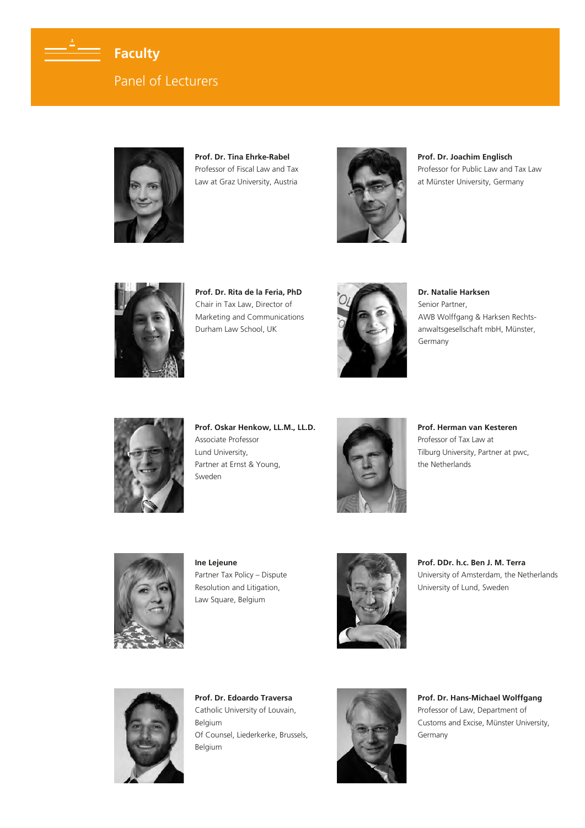

## **Faculty**

### Panel of Lecturers



**Prof. Dr. Tina Ehrke-Rabel** Professor of Fiscal Law and Tax Law at Graz University, Austria



**Prof. Dr. Joachim Englisch**  Professor for Public Law and Tax Law at Münster University, Germany



**Prof. Dr. Rita de la Feria, PhD** Chair in Tax Law, Director of Marketing and Communications Durham Law School, UK



**Dr. Natalie Harksen** Senior Partner, AWB Wolffgang & Harksen Rechtsanwaltsgesellschaft mbH, Münster, Germany



**Prof. Oskar Henkow, LL.M., LL.D.**  Associate Professor Lund University, Partner at Ernst & Young, Sweden



**Prof. Herman van Kesteren**  Professor of Tax Law at Tilburg University, Partner at pwc, the Netherlands



**Ine Lejeune** Partner Tax Policy – Dispute Resolution and Litigation, Law Square, Belgium



**Prof. DDr. h.c. Ben J. M. Terra**  University of Amsterdam, the Netherlands University of Lund, Sweden



**Prof. Dr. Edoardo Traversa** Catholic University of Louvain, Belgium Of Counsel, Liederkerke, Brussels, Belgium



**Prof. Dr. Hans-Michael Wolffgang**  Professor of Law, Department of Customs and Excise, Münster University, Germany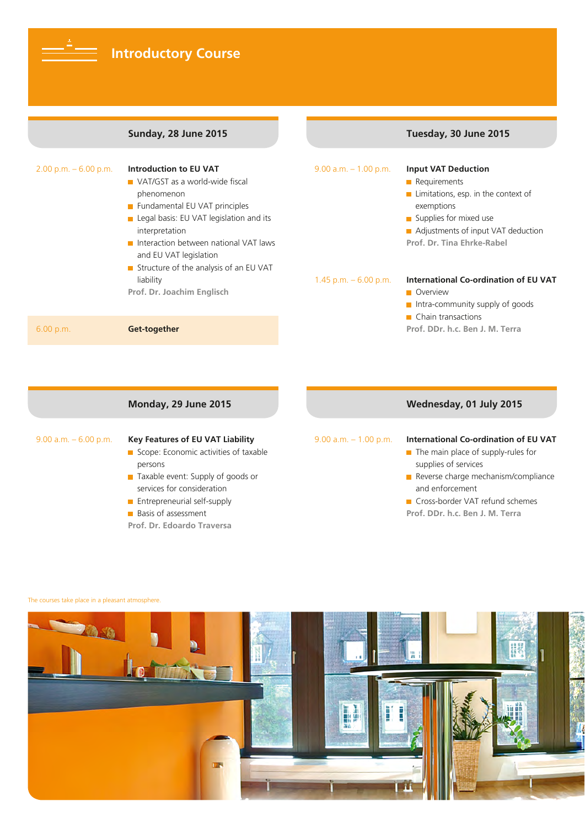

## **Introductory Course**

|                          | Sunday, 28 June 2015                                                                                                                                                                         |                          | Tuesday, 30 June 2015                                                                                                                                                                           |
|--------------------------|----------------------------------------------------------------------------------------------------------------------------------------------------------------------------------------------|--------------------------|-------------------------------------------------------------------------------------------------------------------------------------------------------------------------------------------------|
| $2.00$ p.m. $-6.00$ p.m. | <b>Introduction to EU VAT</b><br>■ VAT/GST as a world-wide fiscal<br>phenomenon<br>Fundamental EU VAT principles<br>$\blacksquare$ Legal basis: EU VAT legislation and its<br>interpretation | $9.00$ a.m. $-1.00$ p.m. | <b>Input VAT Deduction</b><br>$\blacksquare$ Requirements<br>$\blacksquare$ Limitations, esp. in the context of<br>exemptions<br>■ Supplies for mixed use<br>Adjustments of input VAT deduction |
|                          | Interaction between national VAT laws<br>and EU VAT legislation<br>$\blacksquare$ Structure of the analysis of an EU VAT<br>liability<br>Prof. Dr. Joachim Englisch                          | $1.45$ p.m. $-6.00$ p.m. | Prof. Dr. Tina Ehrke-Rabel<br>International Co-ordination of EU VAT<br><b>Overview</b><br>$\blacksquare$ Intra-community supply of goods                                                        |
| 6.00 p.m.                | Get-together                                                                                                                                                                                 |                          | $\blacksquare$ Chain transactions<br>Prof. DDr. h.c. Ben J. M. Terra                                                                                                                            |



#### The courses take place in a pleasant atmosphere.

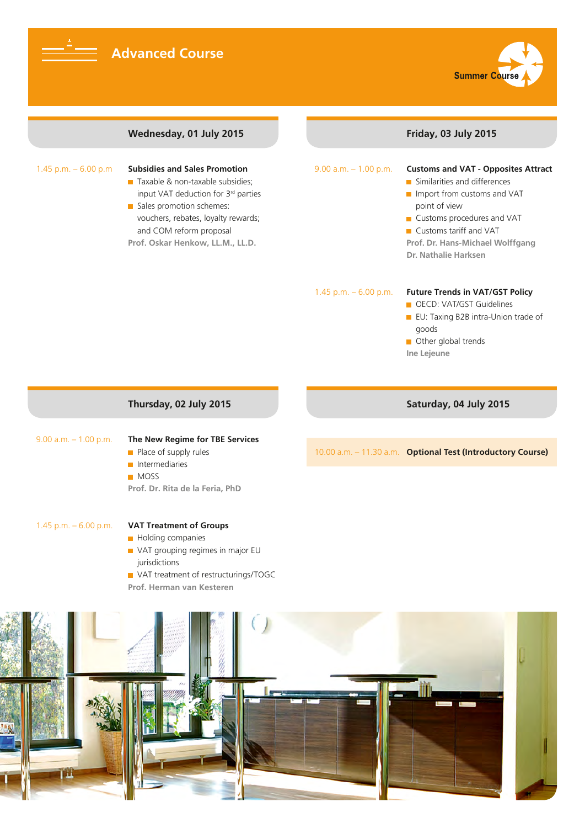

m

## **Advanced Course**



|                          | Wednesday, 01 July 2015                                                                                                                                                                                                                           |                          | Friday, 03 July 2015                                                                                                                                                                                                                             |
|--------------------------|---------------------------------------------------------------------------------------------------------------------------------------------------------------------------------------------------------------------------------------------------|--------------------------|--------------------------------------------------------------------------------------------------------------------------------------------------------------------------------------------------------------------------------------------------|
| 1.45 p.m. $-6.00$ p.m    | <b>Subsidies and Sales Promotion</b><br>Taxable & non-taxable subsidies;<br>input VAT deduction for 3rd parties<br>Sales promotion schemes:<br>vouchers, rebates, loyalty rewards;<br>and COM reform proposal<br>Prof. Oskar Henkow, LL.M., LL.D. | $9.00$ a.m. $-1.00$ p.m. | <b>Customs and VAT - Opposites Attract</b><br>Similarities and differences<br>Import from customs and VAT<br>point of view<br>Customs procedures and VAT<br>■ Customs tariff and VAT<br>Prof. Dr. Hans-Michael Wolffgang<br>Dr. Nathalie Harksen |
|                          |                                                                                                                                                                                                                                                   | 1.45 p.m. $-6.00$ p.m.   | <b>Future Trends in VAT/GST Policy</b><br>OECD: VAT/GST Guidelines<br>EU: Taxing B2B intra-Union trade of<br>goods<br>Other global trends<br>Ine Lejeune                                                                                         |
|                          | Thursday, 02 July 2015                                                                                                                                                                                                                            |                          | Saturday, 04 July 2015                                                                                                                                                                                                                           |
| $9.00$ a.m. $-1.00$ p.m. | The New Regime for TBE Services<br>Place of supply rules<br>$\blacksquare$ Intermediaries<br><b>MOSS</b><br>Prof. Dr. Rita de la Feria, PhD                                                                                                       |                          | 10.00 a.m. - 11.30 a.m. Optional Test (Introductory Course)                                                                                                                                                                                      |
| 1.45 p.m. $-6.00$ p.m.   | <b>VAT Treatment of Groups</b><br>Holding companies<br>VAT grouping regimes in major EU<br>jurisdictions<br>VAT treatment of restructurings/TOGC<br>Prof. Herman van Kesteren                                                                     |                          |                                                                                                                                                                                                                                                  |
|                          |                                                                                                                                                                                                                                                   |                          |                                                                                                                                                                                                                                                  |

揃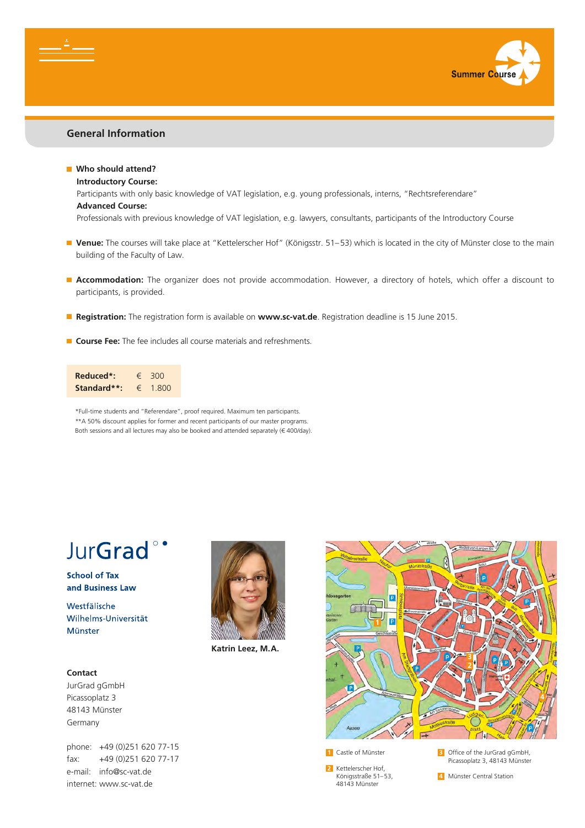



### **General Information**

 **Who should attend? Introductory Course:** Participants with only basic knowledge of VAT legislation, e.g. young professionals, interns, "Rechtsreferendare" **Advanced Course:** Professionals with previous knowledge of VAT legislation, e.g. lawyers, consultants, participants of the Introductory Course

- Venue: The courses will take place at "Kettelerscher Hof" (Königsstr. 51–53) which is located in the city of Münster close to the main building of the Faculty of Law.
- **Accommodation:** The organizer does not provide accommodation. However, a directory of hotels, which offer a discount to participants, is provided.
- **Registration:** The registration form is available on **www.sc-vat.de**. Registration deadline is 15 June 2015.
- **Course Fee:** The fee includes all course materials and refreshments.

**Reduced\*:** € 300 **Standard\*\*:** € 1.800

\*Full-time students and "Referendare", proof required. Maximum ten participants. \*\* A 50% discount applies for former and recent participants of our master programs. Both sessions and all lectures may also be booked and attended separately (€ 400/day).

# **JurGrad**

**School of Tax** and Business Law

Westfälische Wilhelms-Universität Münster

#### **Contact**

JurGrad gGmbH Picassoplatz 3 48143 Münster Germany

phone: +49 (0)251 620 77-15 fax: +49 (0)251 620 77-17 e-mail: info@sc-vat.de internet: www.sc-vat.de



**Katrin Leez, M.A.**



**2** Kettelerscher Hof, Königsstraße 51–53, 48143 Münster

**3** Office of the JurGrad gGmbH, Picassoplatz 3, 48143 Münster

**4** Münster Central Station